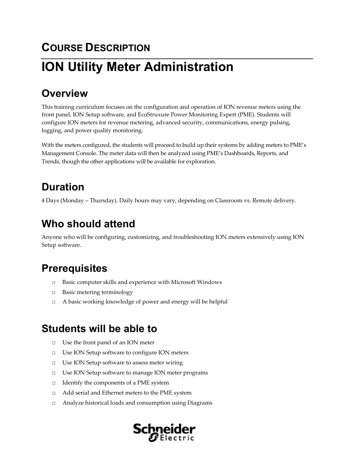# **COURSE DESCRIPTION ION Utility Meter Administration**

# **Overview**

This training curriculum focuses on the configuration and operation of ION revenue meters using the front panel, ION Setup software, and EcoStruxure Power Monitoring Expert (PME). Students will configure ION meters for revenue metering, advanced security, communications, energy pulsing, logging, and power quality monitoring.

With the meters configured, the students will proceed to build up their systems by adding meters to PME's Management Console. The meter data will then be analyzed using PME's Dashboards, Reports, and Trends, though the other applications will be available for exploration.

# **Duration**

4 Days (Monday – Thursday). Daily hours may vary, depending on Classroom vs. Remote delivery.

# **Who should attend**

Anyone who will be configuring, customizing, and troubleshooting ION meters extensively using ION Setup software.

## **Prerequisites**

- □ Basic computer skills and experience with Microsoft Windows
- □ Basic metering terminology
- □ A basic working knowledge of power and energy will be helpful

### **Students will be able to**

- □ Use the front panel of an ION meter
- □ Use ION Setup software to configure ION meters
- □ Use ION Setup software to assess meter wiring
- □ Use ION Setup software to manage ION meter programs
- □ Identify the components of a PME system
- □ Add serial and Ethernet meters to the PME system
- □ Analyze historical loads and consumption using Diagrams

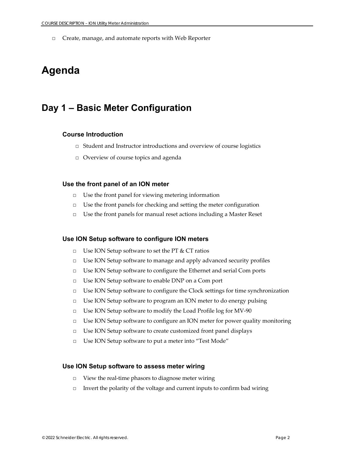□ Create, manage, and automate reports with Web Reporter

### **Agenda**

### **Day 1 – Basic Meter Configuration**

#### **Course Introduction**

- □ Student and Instructor introductions and overview of course logistics
- □ Overview of course topics and agenda

#### **Use the front panel of an ION meter**

- $\Box$  Use the front panel for viewing metering information
- □ Use the front panels for checking and setting the meter configuration
- □ Use the front panels for manual reset actions including a Master Reset

#### **Use ION Setup software to configure ION meters**

- □ Use ION Setup software to set the PT & CT ratios
- □ Use ION Setup software to manage and apply advanced security profiles
- □ Use ION Setup software to configure the Ethernet and serial Com ports
- □ Use ION Setup software to enable DNP on a Com port
- □ Use ION Setup software to configure the Clock settings for time synchronization
- □ Use ION Setup software to program an ION meter to do energy pulsing
- □ Use ION Setup software to modify the Load Profile log for MV-90
- $\Box$  Use ION Setup software to configure an ION meter for power quality monitoring
- □ Use ION Setup software to create customized front panel displays
- □ Use ION Setup software to put a meter into "Test Mode"

#### **Use ION Setup software to assess meter wiring**

- □ View the real-time phasors to diagnose meter wiring
- $\Box$  Invert the polarity of the voltage and current inputs to confirm bad wiring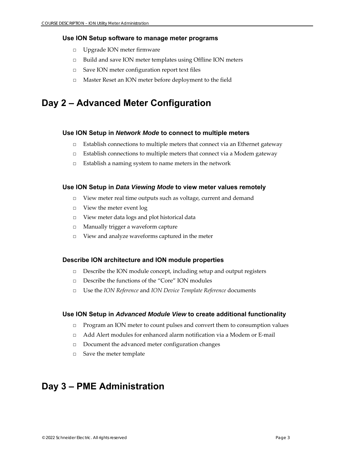#### **Use ION Setup software to manage meter programs**

- □ Upgrade ION meter firmware
- □ Build and save ION meter templates using Offline ION meters
- □ Save ION meter configuration report text files
- □ Master Reset an ION meter before deployment to the field

### **Day 2 – Advanced Meter Configuration**

#### **Use ION Setup in** *Network Mode* **to connect to multiple meters**

- $\square$  Establish connections to multiple meters that connect via an Ethernet gateway
- $\Box$  Establish connections to multiple meters that connect via a Modem gateway
- □ Establish a naming system to name meters in the network

#### **Use ION Setup in** *Data Viewing Mode* **to view meter values remotely**

- □ View meter real time outputs such as voltage, current and demand
- □ View the meter event log
- □ View meter data logs and plot historical data
- □ Manually trigger a waveform capture
- □ View and analyze waveforms captured in the meter

#### **Describe ION architecture and ION module properties**

- □ Describe the ION module concept, including setup and output registers
- □ Describe the functions of the "Core" ION modules
- □ Use the *ION Reference* and *ION Device Template Reference* documents

#### **Use ION Setup in** *Advanced Module View* **to create additional functionality**

- □ Program an ION meter to count pulses and convert them to consumption values
- □ Add Alert modules for enhanced alarm notification via a Modem or E-mail
- □ Document the advanced meter configuration changes
- □ Save the meter template

### **Day 3 – PME Administration**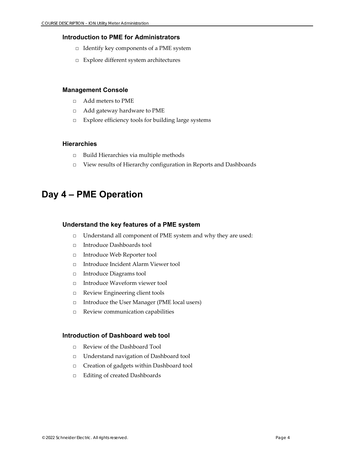#### **Introduction to PME for Administrators**

- □ Identify key components of a PME system
- □ Explore different system architectures

#### **Management Console**

- □ Add meters to PME
- □ Add gateway hardware to PME
- □ Explore efficiency tools for building large systems

#### **Hierarchies**

- □ Build Hierarchies via multiple methods
- □ View results of Hierarchy configuration in Reports and Dashboards

### **Day 4 – PME Operation**

#### **Understand the key features of a PME system**

- □ Understand all component of PME system and why they are used:
- □ Introduce Dashboards tool
- □ Introduce Web Reporter tool
- □ Introduce Incident Alarm Viewer tool
- □ Introduce Diagrams tool
- □ Introduce Waveform viewer tool
- □ Review Engineering client tools
- □ Introduce the User Manager (PME local users)
- □ Review communication capabilities

#### **Introduction of Dashboard web tool**

- □ Review of the Dashboard Tool
- □ Understand navigation of Dashboard tool
- □ Creation of gadgets within Dashboard tool
- □ Editing of created Dashboards